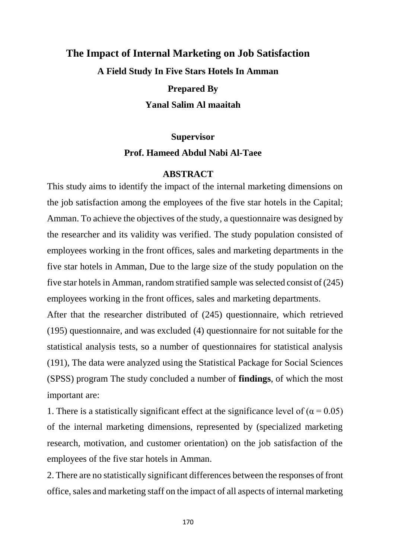## **The Impact of Internal Marketing on Job Satisfaction A Field Study In Five Stars Hotels In Amman Prepared By Yanal Salim Al maaitah**

**Supervisor**

## **Prof. Hameed Abdul Nabi Al-Taee**

## **ABSTRACT**

This study aims to identify the impact of the internal marketing dimensions on the job satisfaction among the employees of the five star hotels in the Capital; Amman. To achieve the objectives of the study, a questionnaire was designed by the researcher and its validity was verified. The study population consisted of employees working in the front offices, sales and marketing departments in the five star hotels in Amman, Due to the large size of the study population on the five star hotels in Amman, random stratified sample was selected consist of (245) employees working in the front offices, sales and marketing departments.

After that the researcher distributed of (245) questionnaire, which retrieved (195) questionnaire, and was excluded (4) questionnaire for not suitable for the statistical analysis tests, so a number of questionnaires for statistical analysis (191), The data were analyzed using the Statistical Package for Social Sciences (SPSS) program The study concluded a number of **findings**, of which the most important are:

1. There is a statistically significant effect at the significance level of ( $\alpha$  = 0.05) of the internal marketing dimensions, represented by (specialized marketing research, motivation, and customer orientation) on the job satisfaction of the employees of the five star hotels in Amman.

2. There are no statistically significant differences between the responses of front office, sales and marketing staff on the impact of all aspects of internal marketing

170